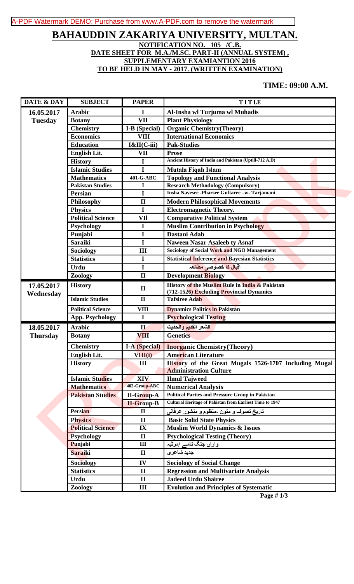## [A-PDF Watermark DEMO: Purchase from www.A-PDF.com to remove the watermark](http://www.a-pdf.com/?wm-demo)

## **BAHAUDDIN ZAKARIYA UNIVERSITY, MULTAN. NOTIFICATION NO. 105 /C.B. DATE SHEET FOR M.A./M.SC. PART-II (ANNUAL SYSTEM) , SUPPLEMENTARY EXAMIANTION 2016 TO BE HELD IN MAY - 2017. (WRITTEN EXAMINATION)**

## **TIME: 09:00 A.M.**

| DATE & DAY      | <b>SUBJECT</b>                        | <b>PAPER</b>         | TITLE                                                           |
|-----------------|---------------------------------------|----------------------|-----------------------------------------------------------------|
| 16.05.2017      | <b>Arabic</b>                         | I                    | Al-Insha wl Turjuma wl Muhadis                                  |
| <b>Tuesday</b>  | <b>Botany</b>                         | <b>VII</b>           | <b>Plant Physiology</b>                                         |
|                 | <b>Chemistry</b>                      | I-B (Special)        | <b>Organic Chemistry(Theory)</b>                                |
|                 | <b>Economics</b>                      | <b>VIII</b>          | <b>International Economics</b>                                  |
|                 | <b>Education</b>                      | I&II(C-iii)          | <b>Pak-Studies</b>                                              |
|                 | English Lit.                          | <b>VII</b>           | <b>Prose</b>                                                    |
|                 | <b>History</b>                        | I                    | Ancient History of India and Pakistan (Uptill-712 A.D)          |
|                 | <b>Islamic Studies</b>                | I                    | Mutala Fiqah Islam                                              |
|                 | <b>Mathematics</b>                    | 401-G-ABC            | <b>Topology and Functional Analysis</b>                         |
|                 | <b>Pakistan Studies</b>               | I                    | <b>Research Methodology (Compulsory)</b>                        |
|                 | <b>Persian</b>                        | I                    | Insha Navesee -Pharsee Guftaree -w- Tarjamani                   |
|                 | <b>Philosophy</b>                     | $\mathbf{I}$         | <b>Modern Philosophical Movements</b>                           |
|                 | <b>Physics</b>                        | $\mathbf I$          | <b>Electromagnetic Theory.</b>                                  |
|                 | <b>Political Science</b>              | VII                  | <b>Comparative Political System</b>                             |
|                 | <b>Psychology</b>                     | $\mathbf I$          | <b>Muslim Contribution in Psychology</b>                        |
|                 | Punjabi                               | $\mathbf I$          | Dastani Adab                                                    |
|                 | <b>Saraiki</b>                        | I                    | <b>Naween Nasar Asaleeb ty Asnaf</b>                            |
|                 | Sociology                             | III                  | <b>Sociology of Social Work and NGO Management</b>              |
|                 | <b>Statistics</b>                     | $\mathbf I$          | <b>Statistical Inference and Bayesian Statistics</b>            |
|                 | Urdu                                  | $\mathbf I$          | اقبال کا خصوصی مطالعہ                                           |
|                 | Zoology                               | $\mathbf{I}$         | <b>Development Biology</b>                                      |
| 17.05.2017      | <b>History</b>                        | $\mathbf{I}$         | History of the Muslim Rule in India & Pakistan                  |
| Wednesday       |                                       |                      | (712-1526) Excluding Provincial Dynamics                        |
|                 | <b>Islamic Studies</b>                | $\mathbf{I}$         | <b>Tafsiree Adab</b>                                            |
|                 | <b>Political Science</b>              | <b>VIII</b>          | <b>Dynamics Politics in Pakistan</b>                            |
|                 | <b>App. Psychology</b>                | $\mathbf I$          | <b>Psychological Testing</b>                                    |
| 18.05.2017      | <b>Arabic</b>                         | $\mathbf u$          | الشعر القديم والحديث                                            |
| <b>Thursday</b> | <b>Botany</b>                         | VIII                 | <b>Genetics</b>                                                 |
|                 | <b>Chemistry</b>                      | <b>I-A</b> (Special) | <b>Inorganic Chemistry (Theory)</b>                             |
|                 | English Lit.                          | VIII(i)              | <b>American Literature</b>                                      |
|                 | <b>History</b>                        | III                  | History of the Great Mugals 1526-1707 Including Mugal           |
|                 |                                       |                      | <b>Administration Culture</b>                                   |
|                 | <b>Islamic Studies</b>                | XIV                  | <b>Ilmul Tajweed</b>                                            |
|                 | <b>Mathematics</b>                    | 402-Group-ABC        | <b>Numerical Analysis</b>                                       |
|                 |                                       |                      |                                                                 |
|                 | <b>Pakistan Studies</b>               | <b>II-Group-A</b>    | <b>Political Parties and Pressure Group in Pakistan</b>         |
|                 |                                       | <b>II-Group-B</b>    | <b>Cultural Heritage of Pakistan from Earliest Time to 1947</b> |
|                 | <b>Persian</b>                        | $\mathbf{I}$         | تاریخ تصوف و متون ،منظوم و منشور عرفان <i>ی</i>                 |
|                 | <b>Physics</b>                        | $\mathbf{I}$         | <b>Basic Solid State Physics</b>                                |
|                 | <b>Political Science</b>              | IX                   | <b>Muslim World Dynamics &amp; Issues</b>                       |
|                 | <b>Psychology</b>                     | $\mathbf{I}$         | <b>Psychological Testing (Theory)</b>                           |
|                 | Punjabi                               | $\mathbf{III}$       | واراں جنگ نامے /مرثیہ                                           |
|                 | <b>Saraiki</b>                        | $\mathbf{I}$         | جديد شاعرى                                                      |
|                 |                                       | IV                   | <b>Sociology of Social Change</b>                               |
|                 | <b>Sociology</b><br><b>Statistics</b> | $\mathbf{I}$         | <b>Regression and Multivariate Analysis</b>                     |
|                 | <b>Urdu</b>                           | $\mathbf{I}$         | <b>Jadeed Urdu Shairee</b>                                      |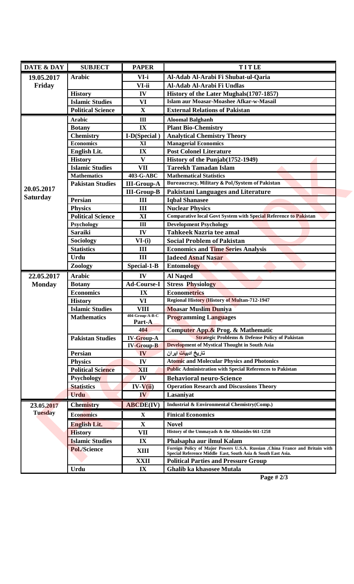| DATE & DAY      | <b>SUBJECT</b>                         | <b>PAPER</b>              | TITLE                                                                                                       |
|-----------------|----------------------------------------|---------------------------|-------------------------------------------------------------------------------------------------------------|
| 19.05.2017      | <b>Arabic</b>                          | VI-i                      | Al-Adab Al-Arabi Fi Shubat-ul-Qaria                                                                         |
| Friday          |                                        | VI-ii                     | Al-Adab Al-Arabi Fi Undlas                                                                                  |
|                 | <b>History</b>                         | IV                        | History of the Later Mughals (1707-1857)                                                                    |
|                 | <b>Islamic Studies</b>                 | <b>VI</b>                 | Islam aur Moasar-Moashee Afkar-w-Masail                                                                     |
|                 | <b>Political Science</b>               | $\mathbf X$               | <b>External Relations of Pakistan</b>                                                                       |
|                 | <b>Arabic</b>                          | III                       | <b>Aloomal Balghanh</b>                                                                                     |
|                 | <b>Botany</b>                          | IX                        | <b>Plant Bio-Chemistry</b>                                                                                  |
|                 | <b>Chemistry</b>                       | I-D(Special)              | <b>Analytical Chemistry Theory</b>                                                                          |
|                 | <b>Economics</b>                       | XI                        | <b>Managerial Economics</b>                                                                                 |
|                 | English Lit.                           | IX                        | <b>Post Colonel Literature</b>                                                                              |
|                 | <b>History</b>                         | $\mathbf{V}$              | History of the Punjab(1752-1949)                                                                            |
|                 | <b>Islamic Studies</b>                 | <b>VII</b>                | <b>Tareekh Tamadan Islam</b>                                                                                |
|                 | <b>Mathematics</b>                     | 403-G-ABC                 | <b>Mathematical Statistics</b>                                                                              |
|                 | <b>Pakistan Studies</b>                | <b>III-Group-A</b>        | Bureaucracy, Military & Pol/System of Pakistan                                                              |
| 20.05.2017      |                                        | <b>III-Group-B</b>        | Pakistani Languages and Literature                                                                          |
| <b>Saturday</b> | <b>Persian</b>                         | III                       | <b>Iqbal Shanasee</b>                                                                                       |
|                 | <b>Physics</b>                         | $\mathbf{III}$            | <b>Nuclear Physics</b>                                                                                      |
|                 | <b>Political Science</b>               | XI                        | <b>Comparative local Govt System with Special Reference to Pakistan</b>                                     |
|                 | Psychology                             | III                       | <b>Development Psychology</b>                                                                               |
|                 | <b>Saraiki</b>                         | IV                        | Tahkeek Nazria tee amal                                                                                     |
|                 | Sociology                              | $VI-(i)$                  | <b>Social Problem of Pakistan</b>                                                                           |
|                 | <b>Statistics</b>                      | $\mathbf{III}$            | <b>Economics and Time Series Analysis</b>                                                                   |
|                 | <b>Urdu</b>                            | III                       | <b>Jadeed Asnaf Nasar</b>                                                                                   |
|                 | Zoology                                | Special-1-B               | <b>Entomology</b>                                                                                           |
| 22.05.2017      | <b>Arabic</b>                          | IV                        | <b>Al Naqed</b>                                                                                             |
| <b>Monday</b>   | <b>Botany</b>                          | <b>Ad-Course-I</b>        | <b>Stress Physiology</b>                                                                                    |
|                 | <b>Economics</b>                       | IX                        | <b>Econometrics</b>                                                                                         |
|                 | <b>History</b>                         | VI                        | <b>Regional History (History of Multan-712-1947</b>                                                         |
|                 | <b>Islamic Studies</b>                 | VIII                      | <b>Moasar Muslim Duniya</b>                                                                                 |
|                 | <b>Mathematics</b>                     | 404-Group-A-B-C<br>Part-A | <b>Programming Languages</b>                                                                                |
|                 |                                        | 404                       | Computer App.& Prog. & Mathematic                                                                           |
|                 | <b>Pakistan Studies</b>                | <b>IV-Group-A</b>         | <b>Strategic Problems &amp; Defense Policy of Pakistan</b>                                                  |
|                 |                                        | <b>IV-Group-B</b>         | <b>Development of Mystical Thought in South Asia</b>                                                        |
|                 | <b>Persian</b>                         | IV                        | تاریخ ادبیات ایرا <i>ن</i>                                                                                  |
|                 | <b>Physics</b>                         | IV                        | <b>Atomic and Molecular Physics and Photonics</b>                                                           |
|                 | <b>Political Science</b>               | XII                       | <b>Public Administration with Special References to Pakistan</b>                                            |
|                 | <b>Psychology</b>                      | IV                        | <b>Behavioral neuro-Science</b>                                                                             |
|                 | <b>Statistics</b>                      | $IV-V(ii)$                | <b>Operation Research and Discussions Theory</b>                                                            |
|                 | <b>Urdu</b>                            | IV.                       | Lasaniyat                                                                                                   |
| 23.05.2017      | <b>Chemistry</b>                       | <b>ABCDE(IV)</b>          | Industrial & Environmental Chemistry(Comp.)                                                                 |
|                 |                                        |                           | <b>Finical Economics</b>                                                                                    |
| <b>Tuesday</b>  | <b>Economics</b>                       | $\mathbf X$               |                                                                                                             |
|                 |                                        |                           | <b>Novel</b>                                                                                                |
|                 | <b>English Lit.</b>                    | X                         | History of the Ummayads & the Abbasides 661-1258                                                            |
|                 | <b>History</b>                         | VII                       |                                                                                                             |
|                 | <b>Islamic Studies</b><br>Pol./Science | IX<br>XIII                | Phalsapha aur ilmul Kalam<br>Foreign Policy of Major Powers U.S.A. Russian , China France and Britain with  |
|                 |                                        | XXII                      | Special Reference Middle East, South Asia & South East Asia.<br><b>Political Parties and Pressure Group</b> |

**Page # 2/3**